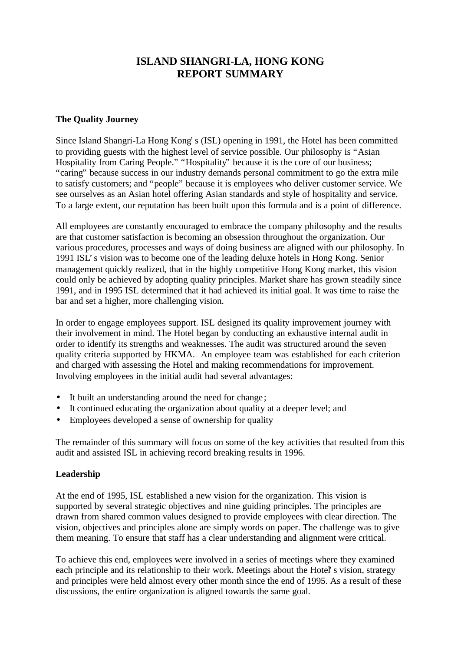# **ISLAND SHANGRI-LA, HONG KONG REPORT SUMMARY**

### **The Quality Journey**

Since Island Shangri-La Hong Kong's (ISL) opening in 1991, the Hotel has been committed to providing guests with the highest level of service possible. Our philosophy is "Asian Hospitality from Caring People." "Hospitality" because it is the core of our business; "caring" because success in our industry demands personal commitment to go the extra mile to satisfy customers; and "people" because it is employees who deliver customer service. We see ourselves as an Asian hotel offering Asian standards and style of hospitality and service. To a large extent, our reputation has been built upon this formula and is a point of difference.

All employees are constantly encouraged to embrace the company philosophy and the results are that customer satisfaction is becoming an obsession throughout the organization. Our various procedures, processes and ways of doing business are aligned with our philosophy. In 1991 ISL's vision was to become one of the leading deluxe hotels in Hong Kong. Senior management quickly realized, that in the highly competitive Hong Kong market, this vision could only be achieved by adopting quality principles. Market share has grown steadily since 1991, and in 1995 ISL determined that it had achieved its initial goal. It was time to raise the bar and set a higher, more challenging vision.

In order to engage employees support. ISL designed its quality improvement journey with their involvement in mind. The Hotel began by conducting an exhaustive internal audit in order to identify its strengths and weaknesses. The audit was structured around the seven quality criteria supported by HKMA. An employee team was established for each criterion and charged with assessing the Hotel and making recommendations for improvement. Involving employees in the initial audit had several advantages:

- It built an understanding around the need for change;
- It continued educating the organization about quality at a deeper level; and
- Employees developed a sense of ownership for quality

The remainder of this summary will focus on some of the key activities that resulted from this audit and assisted ISL in achieving record breaking results in 1996.

### **Leadership**

At the end of 1995, ISL established a new vision for the organization. This vision is supported by several strategic objectives and nine guiding principles. The principles are drawn from shared common values designed to provide employees with clear direction. The vision, objectives and principles alone are simply words on paper. The challenge was to give them meaning. To ensure that staff has a clear understanding and alignment were critical.

To achieve this end, employees were involved in a series of meetings where they examined each principle and its relationship to their work. Meetings about the Hotel's vision, strategy and principles were held almost every other month since the end of 1995. As a result of these discussions, the entire organization is aligned towards the same goal.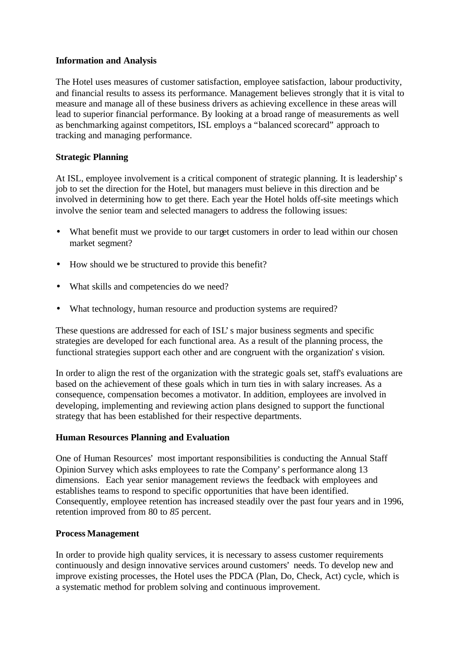### **Information and Analysis**

The Hotel uses measures of customer satisfaction, employee satisfaction, labour productivity, and financial results to assess its performance. Management believes strongly that it is vital to measure and manage all of these business drivers as achieving excellence in these areas will lead to superior financial performance. By looking at a broad range of measurements as well as benchmarking against competitors, ISL employs a "balanced scorecard" approach to tracking and managing performance.

## **Strategic Planning**

At ISL, employee involvement is a critical component of strategic planning. It is leadership's job to set the direction for the Hotel, but managers must believe in this direction and be involved in determining how to get there. Each year the Hotel holds off-site meetings which involve the senior team and selected managers to address the following issues:

- What benefit must we provide to our target customers in order to lead within our chosen market segment?
- How should we be structured to provide this benefit?
- What skills and competencies do we need?
- What technology, human resource and production systems are required?

These questions are addressed for each of ISL's major business segments and specific strategies are developed for each functional area. As a result of the planning process, the functional strategies support each other and are congruent with the organization's vision.

In order to align the rest of the organization with the strategic goals set, staff's evaluations are based on the achievement of these goals which in turn ties in with salary increases. As a consequence, compensation becomes a motivator. In addition, employees are involved in developing, implementing and reviewing action plans designed to support the functional strategy that has been established for their respective departments.

### **Human Resources Planning and Evaluation**

One of Human Resources' most important responsibilities is conducting the Annual Staff Opinion Survey which asks employees to rate the Company's performance along 13 dimensions. Each year senior management reviews the feedback with employees and establishes teams to respond to specific opportunities that have been identified. Consequently, employee retention has increased steadily over the past four years and in 1996, retention improved from 80 to *85* percent.

### **Process Management**

In order to provide high quality services, it is necessary to assess customer requirements continuously and design innovative services around customers' needs. To develop new and improve existing processes, the Hotel uses the PDCA (Plan, Do, Check, Act) cycle, which is a systematic method for problem solving and continuous improvement.